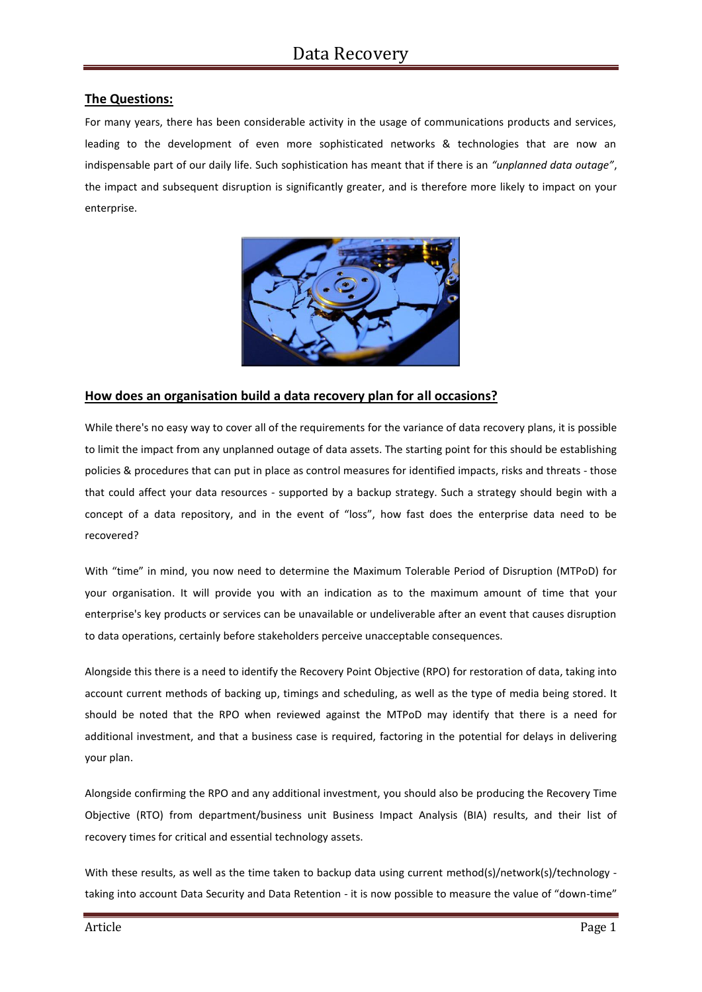# **The Questions:**

For many years, there has been considerable activity in the usage of communications products and services, leading to the development of even more sophisticated networks & technologies that are now an indispensable part of our daily life. Such sophistication has meant that if there is an *"unplanned data outage"*, the impact and subsequent disruption is significantly greater, and is therefore more likely to impact on your enterprise.



# **How does an organisation build a data recovery plan for all occasions?**

While there's no easy way to cover all of the requirements for the variance of data recovery plans, it is possible to limit the impact from any unplanned outage of data assets. The starting point for this should be establishing policies & procedures that can put in place as control measures for identified impacts, risks and threats - those that could affect your data resources - supported by a backup strategy. Such a strategy should begin with a concept of a data repository, and in the event of "loss", how fast does the enterprise data need to be recovered?

With "time" in mind, you now need to determine the Maximum Tolerable Period of Disruption (MTPoD) for your organisation. It will provide you with an indication as to the maximum amount of time that your enterprise's key products or services can be unavailable or undeliverable after an event that causes disruption to data operations, certainly before stakeholders perceive unacceptable consequences.

Alongside this there is a need to identify the Recovery Point Objective (RPO) for restoration of data, taking into account current methods of backing up, timings and scheduling, as well as the type of media being stored. It should be noted that the RPO when reviewed against the MTPoD may identify that there is a need for additional investment, and that a business case is required, factoring in the potential for delays in delivering your plan.

Alongside confirming the RPO and any additional investment, you should also be producing the Recovery Time Objective (RTO) from department/business unit Business Impact Analysis (BIA) results, and their list of recovery times for critical and essential technology assets.

With these results, as well as the time taken to backup data using current method(s)/network(s)/technology taking into account Data Security and Data Retention - it is now possible to measure the value of "down-time"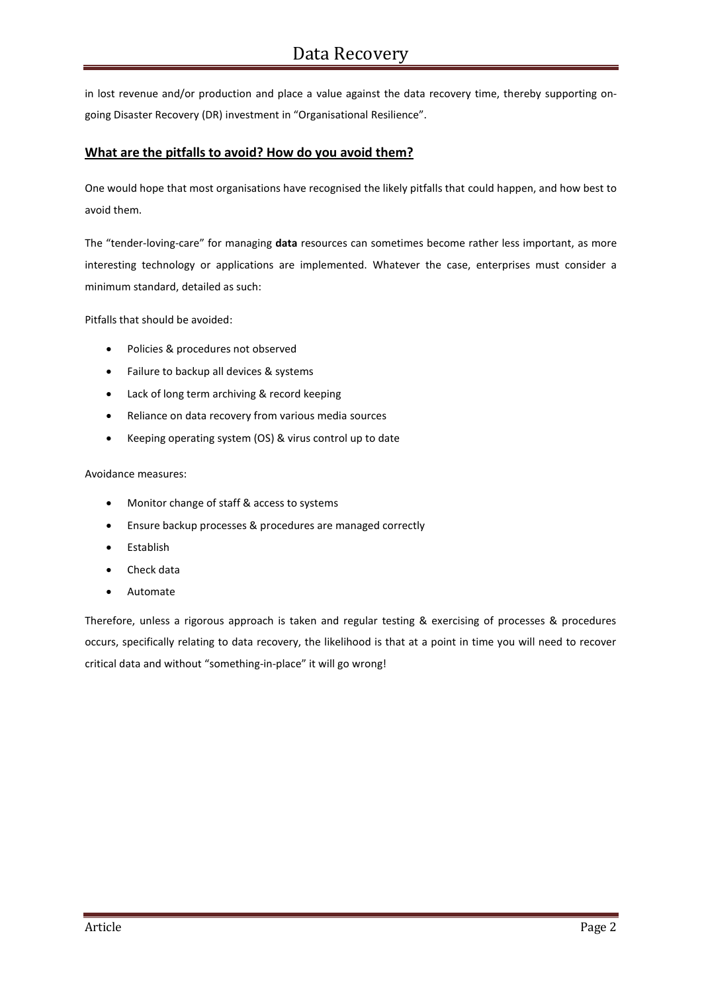in lost revenue and/or production and place a value against the data recovery time, thereby supporting ongoing Disaster Recovery (DR) investment in "Organisational Resilience".

# **What are the pitfalls to avoid? How do you avoid them?**

One would hope that most organisations have recognised the likely pitfalls that could happen, and how best to avoid them.

The "tender-loving-care" for managing **data** resources can sometimes become rather less important, as more interesting technology or applications are implemented. Whatever the case, enterprises must consider a minimum standard, detailed as such:

Pitfalls that should be avoided:

- Policies & procedures not observed
- Failure to backup all devices & systems
- Lack of long term archiving & record keeping
- Reliance on data recovery from various media sources
- Keeping operating system (OS) & virus control up to date

#### Avoidance measures:

- Monitor change of staff & access to systems
- Ensure backup processes & procedures are managed correctly
- Establish
- Check data
- Automate

Therefore, unless a rigorous approach is taken and regular testing & exercising of processes & procedures occurs, specifically relating to data recovery, the likelihood is that at a point in time you will need to recover critical data and without "something-in-place" it will go wrong!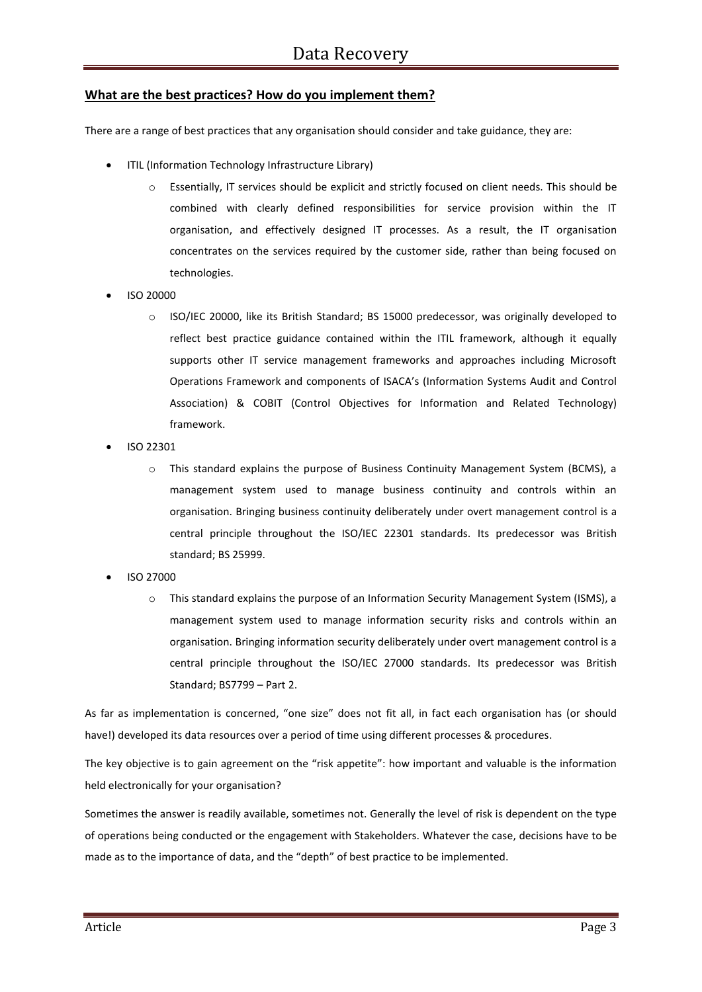## **What are the best practices? How do you implement them?**

There are a range of best practices that any organisation should consider and take guidance, they are:

- ITIL (Information Technology Infrastructure Library)
	- o Essentially, IT services should be explicit and strictly focused on client needs. This should be combined with clearly defined responsibilities for service provision within the IT organisation, and effectively designed IT processes. As a result, the IT organisation concentrates on the services required by the customer side, rather than being focused on technologies.
- ISO 20000
	- o ISO/IEC 20000, like its British Standard; BS 15000 predecessor, was originally developed to reflect best practice guidance contained within the ITIL framework, although it equally supports other IT service management frameworks and approaches including Microsoft Operations Framework and components of ISACA's (Information Systems Audit and Control Association) & COBIT (Control Objectives for Information and Related Technology) framework.
- ISO 22301
	- o This standard explains the purpose of Business Continuity Management System (BCMS), a management system used to manage business continuity and controls within an organisation. Bringing business continuity deliberately under overt management control is a central principle throughout the ISO/IEC 22301 standards. Its predecessor was British standard; BS 25999.
- ISO 27000
	- o This standard explains the purpose of an Information Security Management System (ISMS), a management system used to manage information security risks and controls within an organisation. Bringing information security deliberately under overt management control is a central principle throughout the ISO/IEC 27000 standards. Its predecessor was British Standard; BS7799 – Part 2.

As far as implementation is concerned, "one size" does not fit all, in fact each organisation has (or should have!) developed its data resources over a period of time using different processes & procedures.

The key objective is to gain agreement on the "risk appetite": how important and valuable is the information held electronically for your organisation?

Sometimes the answer is readily available, sometimes not. Generally the level of risk is dependent on the type of operations being conducted or the engagement with Stakeholders. Whatever the case, decisions have to be made as to the importance of data, and the "depth" of best practice to be implemented.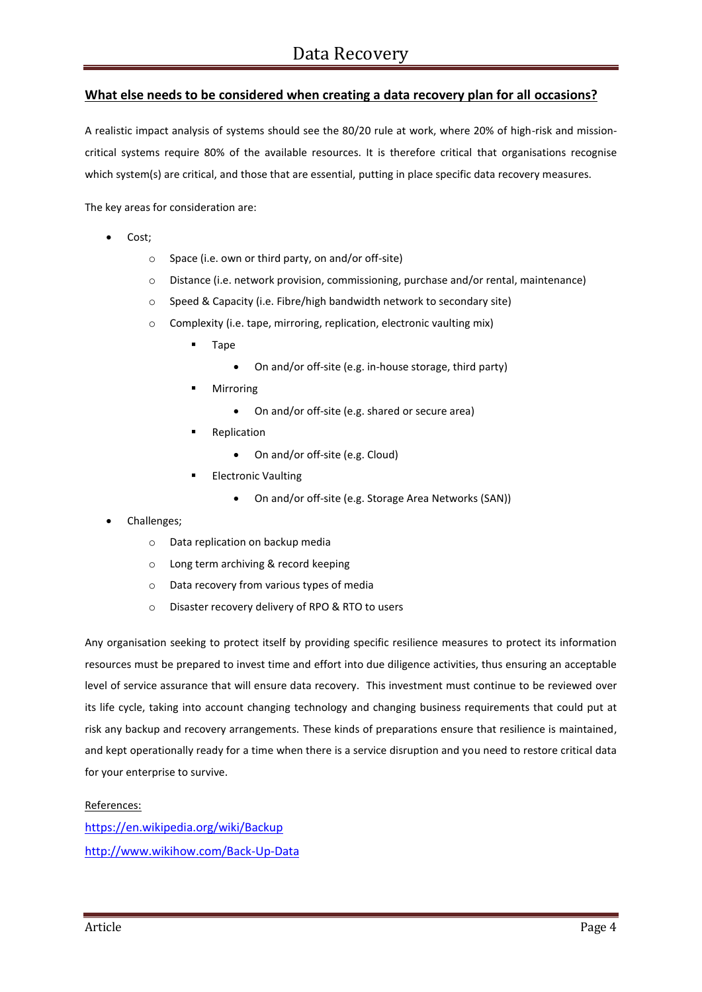# **What else needs to be considered when creating a data recovery plan for all occasions?**

A realistic impact analysis of systems should see the 80/20 rule at work, where 20% of high-risk and missioncritical systems require 80% of the available resources. It is therefore critical that organisations recognise which system(s) are critical, and those that are essential, putting in place specific data recovery measures.

The key areas for consideration are:

- Cost;
	- o Space (i.e. own or third party, on and/or off-site)
	- o Distance (i.e. network provision, commissioning, purchase and/or rental, maintenance)
	- o Speed & Capacity (i.e. Fibre/high bandwidth network to secondary site)
	- o Complexity (i.e. tape, mirroring, replication, electronic vaulting mix)
		- **Tape** 
			- On and/or off-site (e.g. in-house storage, third party)
		- Mirroring
			- On and/or off-site (e.g. shared or secure area)
		- **Replication** 
			- On and/or off-site (e.g. Cloud)
		- Electronic Vaulting
			- On and/or off-site (e.g. Storage Area Networks (SAN))
- Challenges;
	- o Data replication on backup media
	- o Long term archiving & record keeping
	- o Data recovery from various types of media
	- o Disaster recovery delivery of RPO & RTO to users

Any organisation seeking to protect itself by providing specific resilience measures to protect its information resources must be prepared to invest time and effort into due diligence activities, thus ensuring an acceptable level of service assurance that will ensure data recovery. This investment must continue to be reviewed over its life cycle, taking into account changing technology and changing business requirements that could put at risk any backup and recovery arrangements. These kinds of preparations ensure that resilience is maintained, and kept operationally ready for a time when there is a service disruption and you need to restore critical data for your enterprise to survive.

#### References:

<https://en.wikipedia.org/wiki/Backup> <http://www.wikihow.com/Back-Up-Data>